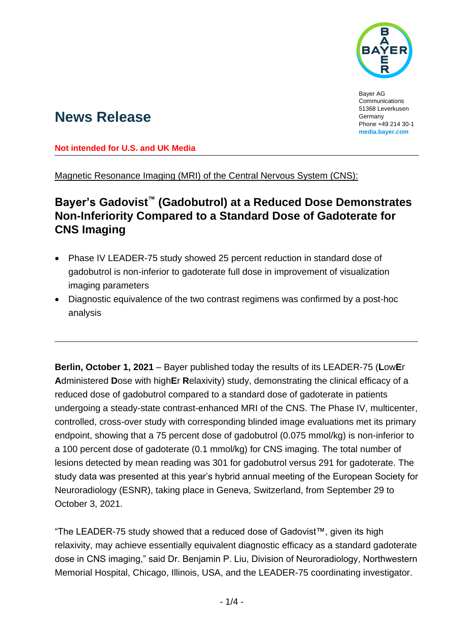

Bayer AG Communications 51368 Leverkusen Germany Phone +49 214 30-1 **[media.bayer.com](http://media.bayer.com/)**

# **News Release**

**Not intended for U.S. and UK Media**

Magnetic Resonance Imaging (MRI) of the Central Nervous System (CNS):

## **Bayer's Gadovist™ (Gadobutrol) at a Reduced Dose Demonstrates Non-Inferiority Compared to a Standard Dose of Gadoterate for CNS Imaging**

- Phase IV LEADER-75 study showed 25 percent reduction in standard dose of gadobutrol is non-inferior to gadoterate full dose in improvement of visualization imaging parameters
- Diagnostic equivalence of the two contrast regimens was confirmed by a post-hoc analysis

**Berlin, October 1, 2021** – Bayer published today the results of its LEADER-75 (**L**ow**E**r **A**dministered **D**ose with high**E**r **R**elaxivity) study, demonstrating the clinical efficacy of a reduced dose of gadobutrol compared to a standard dose of gadoterate in patients undergoing a steady-state contrast-enhanced MRI of the CNS. The Phase IV, multicenter, controlled, cross-over study with corresponding blinded image evaluations met its primary endpoint, showing that a 75 percent dose of gadobutrol (0.075 mmol/kg) is non-inferior to a 100 percent dose of gadoterate (0.1 mmol/kg) for CNS imaging. The total number of lesions detected by mean reading was 301 for gadobutrol versus 291 for gadoterate. The study data was presented at this year's hybrid annual meeting of the European Society for Neuroradiology (ESNR), taking place in Geneva, Switzerland, from September 29 to October 3, 2021.

"The LEADER-75 study showed that a reduced dose of Gadovist™, given its high relaxivity, may achieve essentially equivalent diagnostic efficacy as a standard gadoterate dose in CNS imaging," said Dr. Benjamin P. Liu, Division of Neuroradiology, Northwestern Memorial Hospital, Chicago, Illinois, USA, and the LEADER-75 coordinating investigator.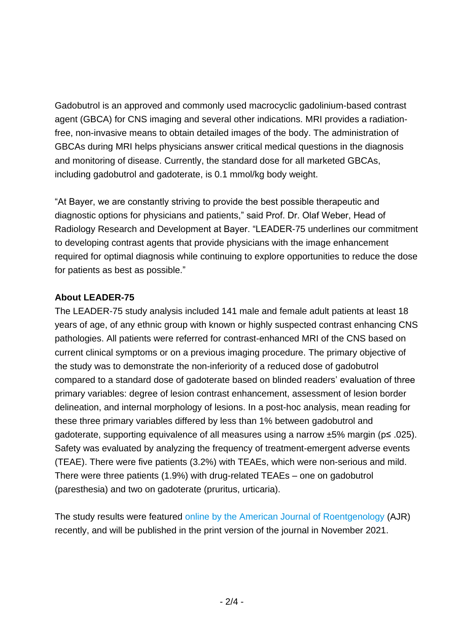Gadobutrol is an approved and commonly used macrocyclic gadolinium-based contrast agent (GBCA) for CNS imaging and several other indications. MRI provides a radiationfree, non-invasive means to obtain detailed images of the body. The administration of GBCAs during MRI helps physicians answer critical medical questions in the diagnosis and monitoring of disease. Currently, the standard dose for all marketed GBCAs, including gadobutrol and gadoterate, is 0.1 mmol/kg body weight.

"At Bayer, we are constantly striving to provide the best possible therapeutic and diagnostic options for physicians and patients," said Prof. Dr. Olaf Weber, Head of Radiology Research and Development at Bayer. "LEADER-75 underlines our commitment to developing contrast agents that provide physicians with the image enhancement required for optimal diagnosis while continuing to explore opportunities to reduce the dose for patients as best as possible."

### **About LEADER-75**

The LEADER-75 study analysis included 141 male and female adult patients at least 18 years of age, of any ethnic group with known or highly suspected contrast enhancing CNS pathologies. All patients were referred for contrast-enhanced MRI of the CNS based on current clinical symptoms or on a previous imaging procedure. The primary objective of the study was to demonstrate the non-inferiority of a reduced dose of gadobutrol compared to a standard dose of gadoterate based on blinded readers' evaluation of three primary variables: degree of lesion contrast enhancement, assessment of lesion border delineation, and internal morphology of lesions. In a post-hoc analysis, mean reading for these three primary variables differed by less than 1% between gadobutrol and gadoterate, supporting equivalence of all measures using a narrow ±5% margin (p≤ .025). Safety was evaluated by analyzing the frequency of treatment-emergent adverse events (TEAE). There were five patients (3.2%) with TEAEs, which were non-serious and mild. There were three patients (1.9%) with drug-related TEAEs – one on gadobutrol (paresthesia) and two on gadoterate (pruritus, urticaria).

The study results were featured online by [the American Journal of Roentgenology](https://www.ajronline.org/doi/pdf/10.2214/AJR.21.25924) (AJR) recently, and will be published in the print version of the journal in November 2021.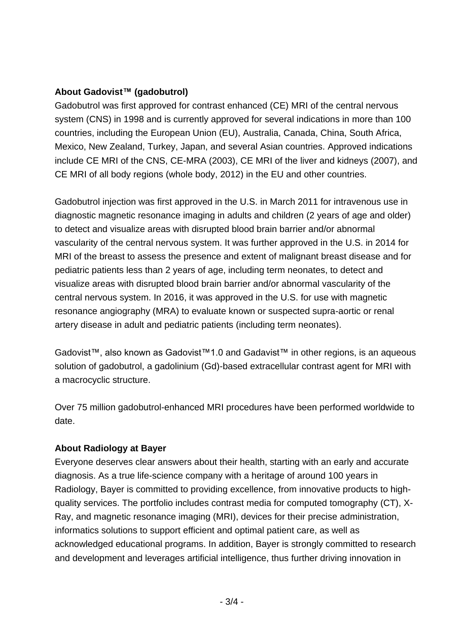#### **About Gadovist™ (gadobutrol)**

Gadobutrol was first approved for contrast enhanced (CE) MRI of the central nervous system (CNS) in 1998 and is currently approved for several indications in more than 100 countries, including the European Union (EU), Australia, Canada, China, South Africa, Mexico, New Zealand, Turkey, Japan, and several Asian countries. Approved indications include CE MRI of the CNS, CE-MRA (2003), CE MRI of the liver and kidneys (2007), and CE MRI of all body regions (whole body, 2012) in the EU and other countries.

Gadobutrol injection was first approved in the U.S. in March 2011 for intravenous use in diagnostic magnetic resonance imaging in adults and children (2 years of age and older) to detect and visualize areas with disrupted blood brain barrier and/or abnormal vascularity of the central nervous system. It was further approved in the U.S. in 2014 for MRI of the breast to assess the presence and extent of malignant breast disease and for pediatric patients less than 2 years of age, including term neonates, to detect and visualize areas with disrupted blood brain barrier and/or abnormal vascularity of the central nervous system. In 2016, it was approved in the U.S. for use with magnetic resonance angiography (MRA) to evaluate known or suspected supra-aortic or renal artery disease in adult and pediatric patients (including term neonates).

Gadovist™, also known as Gadovist™1.0 and Gadavist™ in other regions, is an aqueous solution of gadobutrol, a gadolinium (Gd)-based extracellular contrast agent for MRI with a macrocyclic structure.

Over 75 million gadobutrol-enhanced MRI procedures have been performed worldwide to date.

### **About Radiology at Bayer**

Everyone deserves clear answers about their health, starting with an early and accurate diagnosis. As a true life-science company with a heritage of around 100 years in Radiology, Bayer is committed to providing excellence, from innovative products to highquality services. The portfolio includes contrast media for computed tomography (CT), X-Ray, and magnetic resonance imaging (MRI), devices for their precise administration, informatics solutions to support efficient and optimal patient care, as well as acknowledged educational programs. In addition, Bayer is strongly committed to research and development and leverages artificial intelligence, thus further driving innovation in